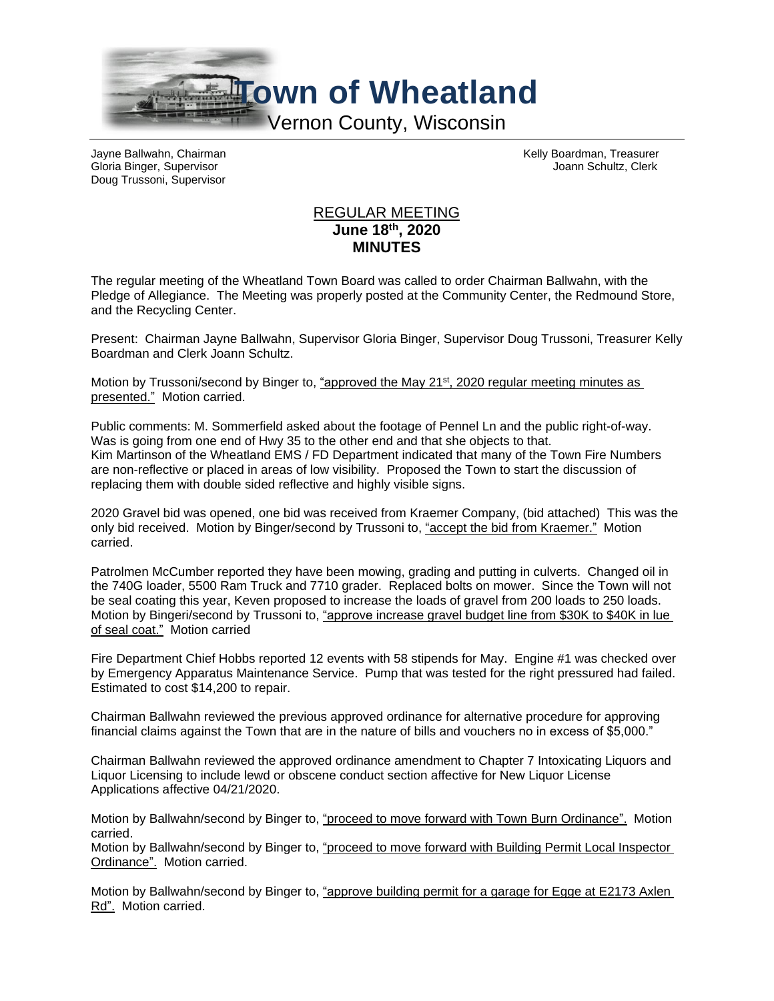

Gloria Binger, Supervisor **Joann Schultz, Clerk** Joann Schultz, Clerk Doug Trussoni, Supervisor

Jayne Ballwahn, Chairman Kelly Boardman, Treasurer

## REGULAR MEETING **June 18th, 2020 MINUTES**

The regular meeting of the Wheatland Town Board was called to order Chairman Ballwahn, with the Pledge of Allegiance. The Meeting was properly posted at the Community Center, the Redmound Store, and the Recycling Center.

Present: Chairman Jayne Ballwahn, Supervisor Gloria Binger, Supervisor Doug Trussoni, Treasurer Kelly Boardman and Clerk Joann Schultz.

Motion by Trussoni/second by Binger to, "approved the May 21<sup>st</sup>, 2020 regular meeting minutes as presented." Motion carried.

Public comments: M. Sommerfield asked about the footage of Pennel Ln and the public right-of-way. Was is going from one end of Hwy 35 to the other end and that she objects to that. Kim Martinson of the Wheatland EMS / FD Department indicated that many of the Town Fire Numbers are non-reflective or placed in areas of low visibility. Proposed the Town to start the discussion of replacing them with double sided reflective and highly visible signs.

2020 Gravel bid was opened, one bid was received from Kraemer Company, (bid attached) This was the only bid received. Motion by Binger/second by Trussoni to, "accept the bid from Kraemer." Motion carried.

Patrolmen McCumber reported they have been mowing, grading and putting in culverts. Changed oil in the 740G loader, 5500 Ram Truck and 7710 grader. Replaced bolts on mower. Since the Town will not be seal coating this year, Keven proposed to increase the loads of gravel from 200 loads to 250 loads. Motion by Bingeri/second by Trussoni to, "approve increase gravel budget line from \$30K to \$40K in lue of seal coat." Motion carried

Fire Department Chief Hobbs reported 12 events with 58 stipends for May. Engine #1 was checked over by Emergency Apparatus Maintenance Service. Pump that was tested for the right pressured had failed. Estimated to cost \$14,200 to repair.

Chairman Ballwahn reviewed the previous approved ordinance for alternative procedure for approving financial claims against the Town that are in the nature of bills and vouchers no in excess of \$5,000."

Chairman Ballwahn reviewed the approved ordinance amendment to Chapter 7 Intoxicating Liquors and Liquor Licensing to include lewd or obscene conduct section affective for New Liquor License Applications affective 04/21/2020.

Motion by Ballwahn/second by Binger to, "proceed to move forward with Town Burn Ordinance". Motion carried.

Motion by Ballwahn/second by Binger to, "proceed to move forward with Building Permit Local Inspector Ordinance". Motion carried.

Motion by Ballwahn/second by Binger to, "approve building permit for a garage for Egge at E2173 Axlen Rd". Motion carried.